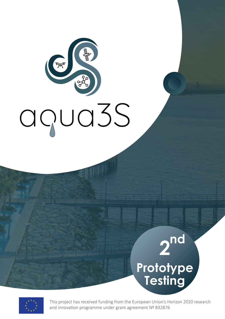# C TAT agua3S

# **nd Prototype Testing 2**



This project has received funding from the European Union's Horizon 2020 research and innovation programme under grant agreement Nº 832876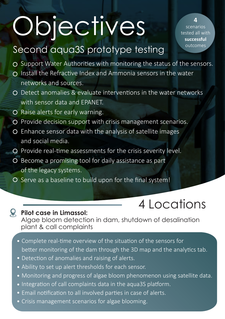# **Objectives**

scenarios tested all with **successful** 

**4** 

## Second aqua3S prototype testing outcomes

- $\circ$  Support Water Authorities with monitoring the status of the sensors.
- $\Omega$  Install the Refractive Index and Ammonia sensors in the water networks and sources.
- O Detect anomalies & evaluate interventions in the water networks with sensor data and EPANET.
- O Raise alerts for early warning.
- O Provide decision support with crisis management scenarios.
- Enhance sensor data with the analysis of satellite images and social media.
- O Provide real-time assessments for the crisis severity level.
- O Become a promising tool for daily assistance as part of the legacy systems.
- O Serve as a baseline to build upon for the final system!

# 4 Locations

**Pilot case in Limassol:**  Algae bloom detection in dam, shutdown of desalination plant & call complaints

- $\bullet$  Complete real-time overview of the situation of the sensors for better monitoring of the dam through the 3D map and the analytics tab.
- Detection of anomalies and raising of alerts.
- Ability to set up alert thresholds for each sensor.
- Monitoring and progress of algae bloom phenomenon using satellite data.
- Integration of call complaints data in the aqua3S platform.
- Email notification to all involved parties in case of alerts.
- Crisis management scenarios for algae blooming.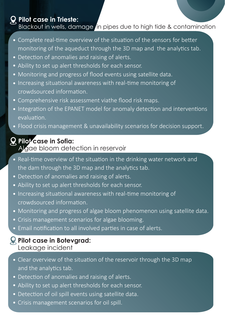#### **Pilot case in Trieste:**

#### Blackout in wells, damage in pipes due to high tide & contamination

- Complete real-time overview of the situation of the sensors for better monitoring of the aqueduct through the 3D map and the analytics tab.
- Detection of anomalies and raising of alerts.
- Ability to set up alert thresholds for each sensor.
- Monitoring and progress of flood events using satellite data.
- $\bullet$  Increasing situational awareness with real-time monitoring of crowdsourced information
- Comprehensive risk assessment viathe flood risk maps.
- Integration of the EPANET model for anomaly detection and interventions evaluation.
- Flood crisis management & unavailability scenarios for decision support.

#### **Pilo<sup>1</sup>case in Sofia:**

#### Algae bloom detection in reservoir

- Real-time overview of the situation in the drinking water network and the dam through the 3D map and the analytics tab.
- Detection of anomalies and raising of alerts.
- Ability to set up alert thresholds for each sensor.
- Increasing situational awareness with real-time monitoring of crowdsourced information.
- Monitoring and progress of algae bloom phenomenon using satellite data.
- Crisis management scenarios for algae blooming.
- Email notification to all involved parties in case of alerts.

#### **Pilot case in Botevgrad:**  Leakage incident

- Clear overview of the situation of the reservoir through the 3D map and the analytics tab.
- Detection of anomalies and raising of alerts.
- Ability to set up alert thresholds for each sensor.
- Detection of oil spill events using satellite data.
- Crisis management scenarios for oil spill.